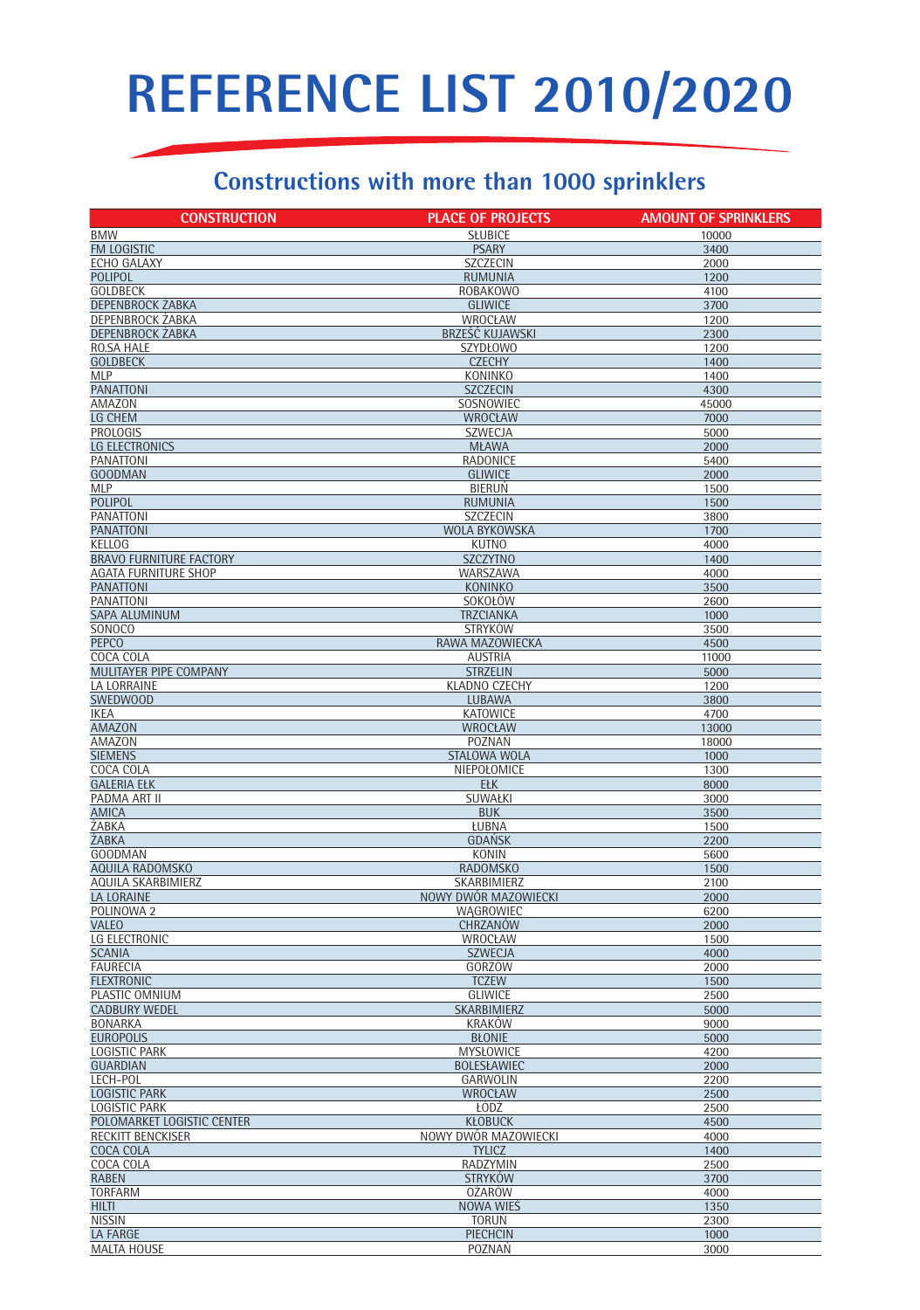## REFERENCE LIST 2010/2020

## Constructions with more than 1000 sprinklers

| <b>CONSTRUCTION</b>                         | <b>PLACE OF PROJECTS</b>          | <b>AMOUNT OF SPRINKLERS</b> |
|---------------------------------------------|-----------------------------------|-----------------------------|
| <b>BMW</b>                                  | <b>SŁUBICE</b>                    | 10000                       |
| FM LOGISTIC                                 | <b>PSARY</b>                      | 3400                        |
| ECHO GALAXY                                 | <b>SZCZECIN</b>                   | 2000                        |
| <b>POLIPOL</b>                              | <b>RUMUNIA</b>                    | 1200                        |
| <b>GOLDBECK</b>                             | <b>ROBAKOWO</b>                   | 4100                        |
| <b>DEPENBROCK ZABKA</b><br>DEPENBROCK ZABKA | <b>GLIWICE</b><br>WROCŁAW         | 3700<br>1200                |
| <b>DEPENBROCK ZABKA</b>                     | BRZEŚĆ KUJAWSKI                   | 2300                        |
| RO.SA HALE                                  | SZYDŁOWO                          | 1200                        |
| <b>GOLDBECK</b>                             | <b>CZECHY</b>                     | 1400                        |
| <b>MLP</b>                                  | <b>KONINKO</b>                    | 1400                        |
| <b>PANATTONI</b>                            | <b>SZCZECIN</b>                   | 4300                        |
| AMAZON                                      | SOSNOWIEC                         | 45000                       |
| LG CHEM<br><b>PROLOGIS</b>                  | <b>WROCŁAW</b><br><b>SZWECJA</b>  | 7000<br>5000                |
| LG ELECTRONICS                              | <b>MŁAWA</b>                      | 2000                        |
| <b>PANATTONI</b>                            | RADONICE                          | 5400                        |
| <b>GOODMAN</b>                              | <b>GLIWICE</b>                    | 2000                        |
| <b>MLP</b>                                  | <b>BIERUN</b>                     | 1500                        |
| <b>POLIPOL</b>                              | <b>RUMUNIA</b>                    | 1500                        |
| <b>PANATTONI</b>                            | <b>SZCZECIN</b>                   | 3800                        |
| <b>PANATTONI</b><br><b>KELLOG</b>           | WOLA BYKOWSKA<br><b>KUTNO</b>     | 1700<br>4000                |
| <b>BRAVO FURNITURE FACTORY</b>              | <b>SZCZYTNO</b>                   | 1400                        |
| <b>AGATA FURNITURE SHOP</b>                 | WARSZAWA                          | 4000                        |
| <b>PANATTONI</b>                            | <b>KONINKO</b>                    | 3500                        |
| <b>PANATTONI</b>                            | SOKOŁÓW                           | 2600                        |
| <b>SAPA ALUMINUM</b>                        | <b>TRZCIANKA</b>                  | 1000                        |
| SONOCO                                      | <b>STRYKÓW</b>                    | 3500                        |
| <b>PEPCO</b>                                | RAWA MAZOWIECKA                   | 4500                        |
| COCA COLA<br>MULITAYER PIPE COMPANY         | <b>AUSTRIA</b><br><b>STRZELIN</b> | 11000<br>5000               |
| LA LORRAINE                                 | <b>KLADNO CZECHY</b>              | 1200                        |
| <b>SWEDWOOD</b>                             | <b>LUBAWA</b>                     | 3800                        |
| <b>IKEA</b>                                 | <b>KATOWICE</b>                   | 4700                        |
| <b>AMAZON</b>                               | <b>WROCŁAW</b>                    | 13000                       |
| AMAZON                                      | POZNAŃ                            | 18000                       |
| <b>SIEMENS</b><br>COCA COLA                 | STALOWA WOLA                      | 1000                        |
| <b>GALERIA EŁK</b>                          | NIEPOŁOMICE<br><b>EŁK</b>         | 1300<br>8000                |
| PADMA ART II                                | SUWAŁKI                           | 3000                        |
| <b>AMICA</b>                                | <b>BUK</b>                        | 3500                        |
| ŻABKA                                       | ŁUBNA                             | 1500                        |
| <b>ZABKA</b>                                | <b>GDANSK</b>                     | 2200                        |
| <b>GOODMAN</b>                              | <b>KONIN</b>                      | 5600                        |
| AQUILA RADOMSKO<br>AQUILA SKARBIMIERZ       | <b>RADOMSKO</b><br>SKARBIMIERZ    | 1500<br>2100                |
| <b>LA LORAINE</b>                           | NOWY DWOR MAZOWIECKI              | 2000                        |
| POLINOWA 2                                  | WAGROWIEC                         | 6200                        |
| <b>VALEO</b>                                | CHRZANÓW                          | 2000                        |
| LG ELECTRONIC                               | WROCŁAW                           | 1500                        |
| <b>SCANIA</b>                               | <b>SZWECJA</b>                    | 4000                        |
| <b>FAURECIA</b>                             | GORZÓW                            | 2000                        |
| <b>FLEXTRONIC</b><br>PLASTIC OMNIUM         | <b>TCZEW</b><br><b>GLIWICE</b>    | 1500<br>2500                |
| <b>CADBURY WEDEL</b>                        | SKARBIMIERZ                       | 5000                        |
| <b>BONARKA</b>                              | <b>KRAKÓW</b>                     | 9000                        |
| <b>EUROPOLIS</b>                            | <b>BŁONIE</b>                     | 5000                        |
| <b>LOGISTIC PARK</b>                        | <b>MYSŁOWICE</b>                  | 4200                        |
| <b>GUARDIAN</b>                             | <b>BOLESŁAWIEC</b>                | 2000                        |
| LECH-POL                                    | GARWOLIN                          | 2200                        |
| <b>LOGISTIC PARK</b><br>LOGISTIC PARK       | <b>WROCŁAW</b><br>ŁODŻ            | 2500<br>2500                |
| POLOMARKET LOGISTIC CENTER                  | <b>KŁOBUCK</b>                    | 4500                        |
| RECKITT BENCKISER                           | NOWY DWOR MAZOWIECKI              | 4000                        |
| COCA COLA                                   | <b>TYLICZ</b>                     | 1400                        |
| COCA COLA                                   | RADZYMIN                          | 2500                        |
| <b>RABEN</b>                                | <b>STRYKÓW</b>                    | 3700                        |
| <b>TORFARM</b>                              | <b>OŻARÓW</b>                     | 4000                        |
| <b>HILTI</b><br><b>NISSIN</b>               | NOWA WIES<br><b>TORUN</b>         | 1350<br>2300                |
| <b>LA FARGE</b>                             | <b>PIECHCIN</b>                   | 1000                        |
| <b>MALTA HOUSE</b>                          | POZNAŃ                            | 3000                        |